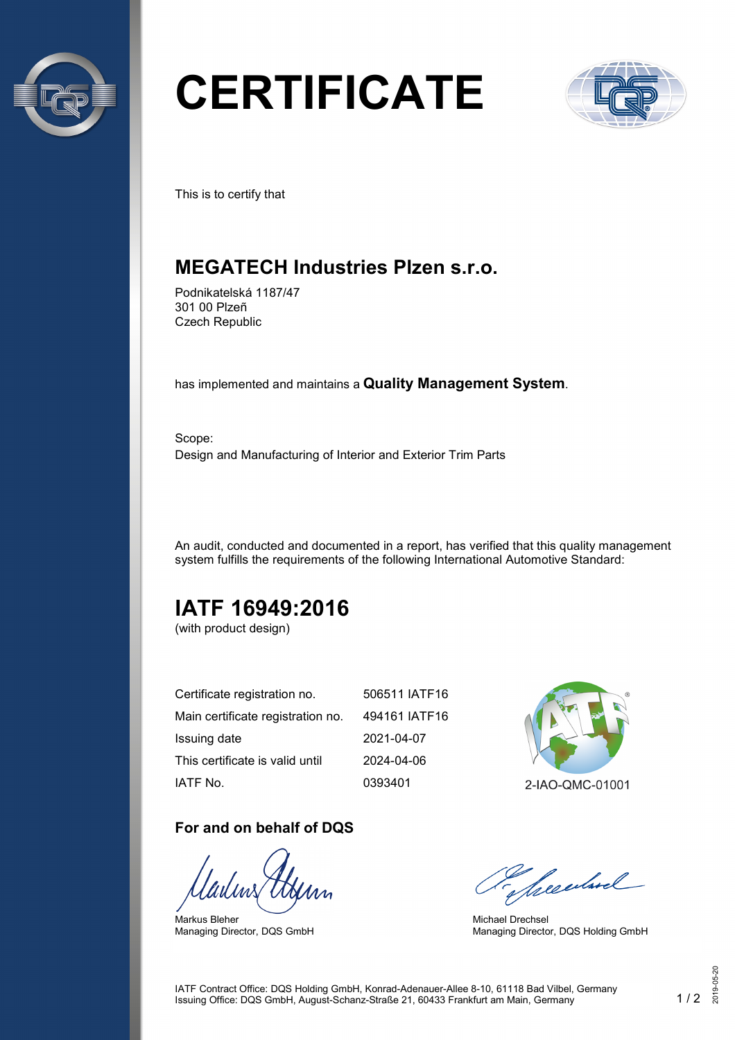

# **CERTIFICATE**



This is to certify that

## **MEGATECH Industries Plzen s.r.o.**

Podnikatelská 1187/47 301 00 Plzeñ Czech Republic

has implemented and maintains a **Quality Management System**.

Scope: Design and Manufacturing of Interior and Exterior Trim Parts

An audit, conducted and documented in a report, has verified that this quality management system fulfills the requirements of the following International Automotive Standard:

# **IATF 16949:2016**

(with product design)

| Certificate registration no.      | 506511 IATF16 |
|-----------------------------------|---------------|
| Main certificate registration no. | 494161 IATF16 |
| Issuing date                      | 2021-04-07    |
| This certificate is valid until   | 2024-04-06    |
| IATF No.                          | 0393401       |

#### **For and on behalf of DQS**

Markus Bleher Managing Director, DQS GmbH



Seculard

Michael Drechsel Managing Director, DQS Holding GmbH

IATF Contract Office: DQS Holding GmbH, Konrad-Adenauer-Allee 8-10, 61118 Bad Vilbel, Germany Issuing Office: DQS GmbH, August-Schanz-Straße 21, 60433 Frankfurt am Main, Germany 1 / 2